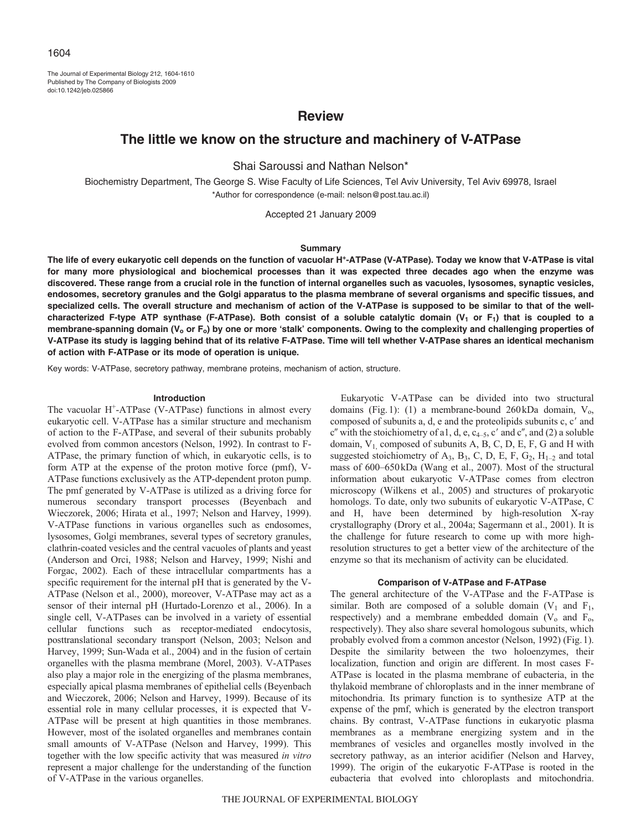The Journal of Experimental Biology 212, 1604-1610 Published by The Company of Biologists 2009 doi:10.1242/jeb.025866

## **Review**

# **The little we know on the structure and machinery of V-ATPase**

Shai Saroussi and Nathan Nelson\*

Biochemistry Department, The George S. Wise Faculty of Life Sciences, Tel Aviv University, Tel Aviv 69978, Israel \*Author for correspondence (e-mail: nelson@post.tau.ac.il)

Accepted 21 January 2009

## **Summary**

**The life of every eukaryotic cell depends on the function of vacuolar H+-ATPase (V-ATPase). Today we know that V-ATPase is vital for many more physiological and biochemical processes than it was expected three decades ago when the enzyme was discovered. These range from a crucial role in the function of internal organelles such as vacuoles, lysosomes, synaptic vesicles, endosomes, secretory granules and the Golgi apparatus to the plasma membrane of several organisms and specific tissues, and specialized cells. The overall structure and mechanism of action of the V-ATPase is supposed to be similar to that of the well**characterized F-type ATP synthase (F-ATPase). Both consist of a soluble catalytic domain  $(V_1 \text{ or } F_1)$  that is coupled to a membrane-spanning domain (V<sub>o</sub> or F<sub>o</sub>) by one or more 'stalk' components. Owing to the complexity and challenging properties of **V-ATPase its study is lagging behind that of its relative F-ATPase. Time will tell whether V-ATPase shares an identical mechanism of action with F-ATPase or its mode of operation is unique.**

Key words: V-ATPase, secretory pathway, membrane proteins, mechanism of action, structure.

## **Introduction**

The vacuolar  $H^+$ -ATPase (V-ATPase) functions in almost every eukaryotic cell. V-ATPase has a similar structure and mechanism of action to the F-ATPase, and several of their subunits probably evolved from common ancestors (Nelson, 1992). In contrast to F-ATPase, the primary function of which, in eukaryotic cells, is to form ATP at the expense of the proton motive force (pmf), V-ATPase functions exclusively as the ATP-dependent proton pump. The pmf generated by V-ATPase is utilized as a driving force for numerous secondary transport processes (Beyenbach and Wieczorek, 2006; Hirata et al., 1997; Nelson and Harvey, 1999). V-ATPase functions in various organelles such as endosomes, lysosomes, Golgi membranes, several types of secretory granules, clathrin-coated vesicles and the central vacuoles of plants and yeast (Anderson and Orci, 1988; Nelson and Harvey, 1999; Nishi and Forgac, 2002). Each of these intracellular compartments has a specific requirement for the internal pH that is generated by the V-ATPase (Nelson et al., 2000), moreover, V-ATPase may act as a sensor of their internal pH (Hurtado-Lorenzo et al., 2006). In a single cell, V-ATPases can be involved in a variety of essential cellular functions such as receptor-mediated endocytosis, posttranslational secondary transport (Nelson, 2003; Nelson and Harvey, 1999; Sun-Wada et al., 2004) and in the fusion of certain organelles with the plasma membrane (Morel, 2003). V-ATPases also play a major role in the energizing of the plasma membranes, especially apical plasma membranes of epithelial cells (Beyenbach and Wieczorek, 2006; Nelson and Harvey, 1999). Because of its essential role in many cellular processes, it is expected that V-ATPase will be present at high quantities in those membranes. However, most of the isolated organelles and membranes contain small amounts of V-ATPase (Nelson and Harvey, 1999). This together with the low specific activity that was measured *in vitro* represent a major challenge for the understanding of the function of V-ATPase in the various organelles.

Eukaryotic V-ATPase can be divided into two structural domains (Fig.1): (1) a membrane-bound 260kDa domain,  $V_0$ , composed of subunits a, d, e and the proteolipids subunits c, c' and c'' with the stoichiometry of a1, d, e,  $c_{4-5}$ , c' and c'', and (2) a soluble domain, V1, composed of subunits A, B, C, D, E, F, G and H with suggested stoichiometry of  $A_3$ ,  $B_3$ , C, D, E, F,  $G_2$ ,  $H_{1-2}$  and total mass of 600–650kDa (Wang et al., 2007). Most of the structural information about eukaryotic V-ATPase comes from electron microscopy (Wilkens et al., 2005) and structures of prokaryotic homologs. To date, only two subunits of eukaryotic V-ATPase, C and H, have been determined by high-resolution X-ray crystallography (Drory et al., 2004a; Sagermann et al., 2001). It is the challenge for future research to come up with more highresolution structures to get a better view of the architecture of the enzyme so that its mechanism of activity can be elucidated.

## **Comparison of V-ATPase and F-ATPase**

The general architecture of the V-ATPase and the F-ATPase is similar. Both are composed of a soluble domain  $(V_1$  and  $F_1$ , respectively) and a membrane embedded domain  $(V_0$  and  $F_0$ , respectively). They also share several homologous subunits, which probably evolved from a common ancestor (Nelson, 1992) (Fig.1). Despite the similarity between the two holoenzymes, their localization, function and origin are different. In most cases F-ATPase is located in the plasma membrane of eubacteria, in the thylakoid membrane of chloroplasts and in the inner membrane of mitochondria. Its primary function is to synthesize ATP at the expense of the pmf, which is generated by the electron transport chains. By contrast, V-ATPase functions in eukaryotic plasma membranes as a membrane energizing system and in the membranes of vesicles and organelles mostly involved in the secretory pathway, as an interior acidifier (Nelson and Harvey, 1999). The origin of the eukaryotic F-ATPase is rooted in the eubacteria that evolved into chloroplasts and mitochondria.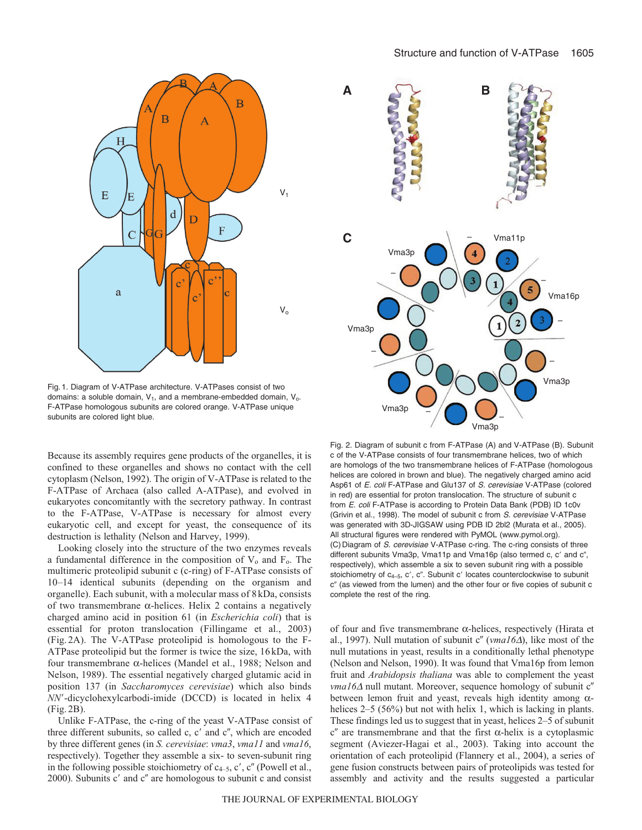

Fig. 1. Diagram of V-ATPase architecture. V-ATPases consist of two domains: a soluble domain,  $V_1$ , and a membrane-embedded domain,  $V_0$ . F-ATPase homologous subunits are colored orange. V-ATPase unique subunits are colored light blue.

Because its assembly requires gene products of the organelles, it is confined to these organelles and shows no contact with the cell cytoplasm (Nelson, 1992). The origin of V-ATPase is related to the F-ATPase of Archaea (also called A-ATPase), and evolved in eukaryotes concomitantly with the secretory pathway. In contrast to the F-ATPase, V-ATPase is necessary for almost every eukaryotic cell, and except for yeast, the consequence of its destruction is lethality (Nelson and Harvey, 1999).

Looking closely into the structure of the two enzymes reveals a fundamental difference in the composition of  $V_0$  and  $F_0$ . The multimeric proteolipid subunit c (c-ring) of F-ATPase consists of 10–14 identical subunits (depending on the organism and organelle). Each subunit, with a molecular mass of 8 kDa, consists of two transmembrane α-helices. Helix 2 contains a negatively charged amino acid in position 61 (in *Escherichia coli*) that is essential for proton translocation (Fillingame et al., 2003) (Fig. 2A). The V-ATPase proteolipid is homologous to the F-ATPase proteolipid but the former is twice the size, 16 kDa, with four transmembrane α-helices (Mandel et al., 1988; Nelson and Nelson, 1989). The essential negatively charged glutamic acid in position 137 (in *Saccharomyces cerevisiae*) which also binds *NN*--dicyclohexylcarbodi-imide (DCCD) is located in helix 4 (Fig. 2B).

Unlike F-ATPase, the c-ring of the yeast V-ATPase consist of three different subunits, so called  $c$ ,  $c'$  and  $c''$ , which are encoded by three different genes (in *S. cerevisiae*: *vma3*, *vma11* and *vma16*, respectively). Together they assemble a six- to seven-subunit ring in the following possible stoichiometry of  $c_{4-5}$ , c', c'' (Powell et al., 2000). Subunits c' and c" are homologous to subunit c and consist



Fig. 2. Diagram of subunit c from F-ATPase (A) and V-ATPase (B). Subunit c of the V-ATPase consists of four transmembrane helices, two of which are homologs of the two transmembrane helices of F-ATPase (homologous helices are colored in brown and blue). The negatively charged amino acid Asp61 of E. coli F-ATPase and Glu137 of S. cerevisiae V-ATPase (colored in red) are essential for proton translocation. The structure of subunit c from E. coli F-ATPase is according to Protein Data Bank (PDB) ID 1c0v (Grivin et al., 1998). The model of subunit c from S. cerevisiae V-ATPase was generated with 3D-JIGSAW using PDB ID 2bl2 (Murata et al., 2005). All structural figures were rendered with PyMOL (www.pymol.org). (C) Diagram of S. cerevisiae V-ATPase c-ring. The c-ring consists of three different subunits Vma3p, Vma11p and Vma16p (also termed c, c' and c", respectively), which assemble a six to seven subunit ring with a possible stoichiometry of c<sub>4-5</sub>, c', c". Subunit c' locates counterclockwise to subunit c" (as viewed from the lumen) and the other four or five copies of subunit c complete the rest of the ring.

of four and five transmembrane α-helices, respectively (Hirata et al., 1997). Null mutation of subunit c" (vma16Δ), like most of the null mutations in yeast, results in a conditionally lethal phenotype (Nelson and Nelson, 1990). It was found that Vma16p from lemon fruit and *Arabidopsis thaliana* was able to complement the yeast *vma16*Δ null mutant. Moreover, sequence homology of subunit c" between lemon fruit and yeast, reveals high identity among αhelices 2–5 (56%) but not with helix 1, which is lacking in plants. These findings led us to suggest that in yeast, helices 2–5 of subunit  $c<sup>ν</sup>$  are transmembrane and that the first α-helix is a cytoplasmic segment (Aviezer-Hagai et al., 2003). Taking into account the orientation of each proteolipid (Flannery et al., 2004), a series of gene fusion constructs between pairs of proteolipids was tested for assembly and activity and the results suggested a particular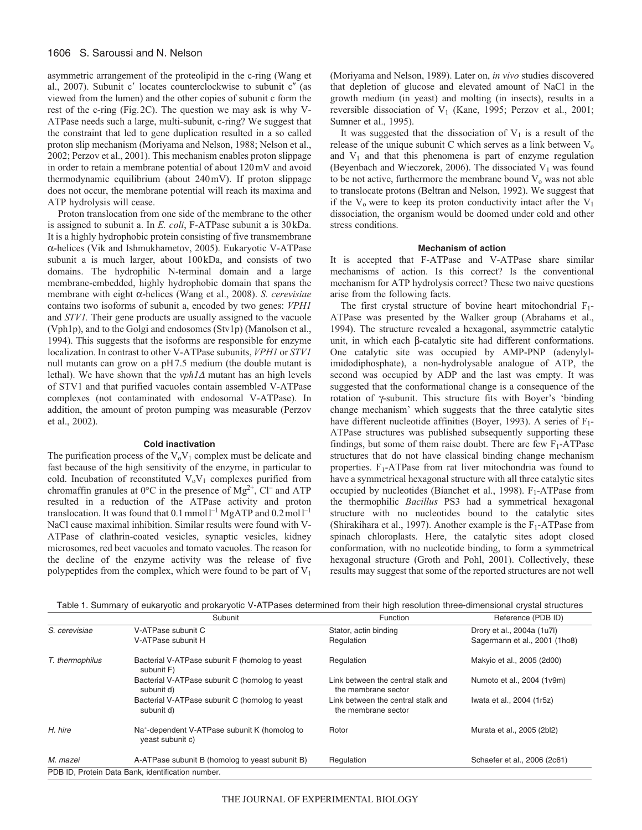## 1606 S. Saroussi and N. Nelson

asymmetric arrangement of the proteolipid in the c-ring (Wang et al., 2007). Subunit c' locates counterclockwise to subunit c" (as viewed from the lumen) and the other copies of subunit c form the rest of the c-ring (Fig.2C). The question we may ask is why V-ATPase needs such a large, multi-subunit, c-ring? We suggest that the constraint that led to gene duplication resulted in a so called proton slip mechanism (Moriyama and Nelson, 1988; Nelson et al., 2002; Perzov et al., 2001). This mechanism enables proton slippage in order to retain a membrane potential of about 120mV and avoid thermodynamic equilibrium (about 240mV). If proton slippage does not occur, the membrane potential will reach its maxima and ATP hydrolysis will cease.

Proton translocation from one side of the membrane to the other is assigned to subunit a. In *E. coli*, F-ATPase subunit a is 30kDa. It is a highly hydrophobic protein consisting of five transmembrane α-helices (Vik and Ishmukhametov, 2005). Eukaryotic V-ATPase subunit a is much larger, about 100kDa, and consists of two domains. The hydrophilic N-terminal domain and a large membrane-embedded, highly hydrophobic domain that spans the membrane with eight α-helices (Wang et al., 2008). *S. cerevisiae* contains two isoforms of subunit a, encoded by two genes: *VPH1* and *STV1.* Their gene products are usually assigned to the vacuole (Vph1p), and to the Golgi and endosomes (Stv1p) (Manolson et al., 1994). This suggests that the isoforms are responsible for enzyme localization. In contrast to other V-ATPase subunits, *VPH1* or *STV1* null mutants can grow on a pH7.5 medium (the double mutant is lethal). We have shown that the *vph1*<sup>Δ</sup> mutant has an high levels of STV1 and that purified vacuoles contain assembled V-ATPase complexes (not contaminated with endosomal V-ATPase). In addition, the amount of proton pumping was measurable (Perzov et al., 2002).

#### **Cold inactivation**

The purification process of the  $V_0V_1$  complex must be delicate and fast because of the high sensitivity of the enzyme, in particular to cold. Incubation of reconstituted  $V_0V_1$  complexes purified from chromaffin granules at  $0^{\circ}$ C in the presence of Mg<sup>2+</sup>, Cl<sup>–</sup> and ATP resulted in a reduction of the ATPase activity and proton translocation. It was found that  $0.1$  mmol  $l^{-1}$  MgATP and  $0.2$  mol  $l^{-1}$ NaCl cause maximal inhibition. Similar results were found with V-ATPase of clathrin-coated vesicles, synaptic vesicles, kidney microsomes, red beet vacuoles and tomato vacuoles. The reason for the decline of the enzyme activity was the release of five polypeptides from the complex, which were found to be part of  $V_1$  (Moriyama and Nelson, 1989). Later on, *in vivo* studies discovered that depletion of glucose and elevated amount of NaCl in the growth medium (in yeast) and molting (in insects), results in a reversible dissociation of  $V_1$  (Kane, 1995; Perzov et al., 2001; Sumner et al., 1995).

It was suggested that the dissociation of  $V_1$  is a result of the release of the unique subunit C which serves as a link between  $V_0$ and  $V_1$  and that this phenomena is part of enzyme regulation (Beyenbach and Wieczorek, 2006). The dissociated  $V_1$  was found to be not active, furthermore the membrane bound  $V_0$  was not able to translocate protons (Beltran and Nelson, 1992). We suggest that if the  $V_0$  were to keep its proton conductivity intact after the  $V_1$ dissociation, the organism would be doomed under cold and other stress conditions.

#### **Mechanism of action**

It is accepted that F-ATPase and V-ATPase share similar mechanisms of action. Is this correct? Is the conventional mechanism for ATP hydrolysis correct? These two naive questions arise from the following facts.

The first crystal structure of bovine heart mitochondrial  $F_1$ -ATPase was presented by the Walker group (Abrahams et al., 1994). The structure revealed a hexagonal, asymmetric catalytic unit, in which each β-catalytic site had different conformations. One catalytic site was occupied by AMP-PNP (adenylylimidodiphosphate), a non-hydrolysable analogue of ATP, the second was occupied by ADP and the last was empty. It was suggested that the conformational change is a consequence of the rotation of γ-subunit. This structure fits with Boyer's 'binding change mechanism' which suggests that the three catalytic sites have different nucleotide affinities (Boyer, 1993). A series of  $F_1$ -ATPase structures was published subsequently supporting these findings, but some of them raise doubt. There are few  $F_1$ -ATPase structures that do not have classical binding change mechanism properties.  $F_1$ -ATPase from rat liver mitochondria was found to have a symmetrical hexagonal structure with all three catalytic sites occupied by nucleotides (Bianchet et al., 1998).  $F_1$ -ATPase from the thermophilic *Bacillus* PS3 had a symmetrical hexagonal structure with no nucleotides bound to the catalytic sites (Shirakihara et al., 1997). Another example is the  $F_1$ -ATPase from spinach chloroplasts. Here, the catalytic sites adopt closed conformation, with no nucleotide binding, to form a symmetrical hexagonal structure (Groth and Pohl, 2001). Collectively, these results may suggest that some of the reported structures are not well

| Table 1. Summary of eukaryotic and prokaryotic V-ATPases determined from their high resolution three-dimensional crystal structures |  |
|-------------------------------------------------------------------------------------------------------------------------------------|--|
|                                                                                                                                     |  |

|                 | Subunit                                                                       | Function                                                  | Reference (PDB ID)            |
|-----------------|-------------------------------------------------------------------------------|-----------------------------------------------------------|-------------------------------|
| S. cerevisiae   | V-ATPase subunit C                                                            | Stator, actin binding                                     | Drory et al., 2004a (1u7l)    |
|                 | V-ATPase subunit H                                                            | Regulation                                                | Sagermann et al., 2001 (1ho8) |
| T. thermophilus | Bacterial V-ATPase subunit F (homolog to yeast<br>subunit F)                  | Regulation                                                | Makyio et al., 2005 (2d00)    |
|                 | Bacterial V-ATPase subunit C (homolog to yeast<br>subunit d)                  | Link between the central stalk and<br>the membrane sector | Numoto et al., 2004 (1v9m)    |
|                 | Bacterial V-ATPase subunit C (homolog to yeast<br>subunit d)                  | Link between the central stalk and<br>the membrane sector | Iwata et al., 2004 (1r5z)     |
| H. hire         | Na <sup>+</sup> -dependent V-ATPase subunit K (homolog to<br>yeast subunit c) | Rotor                                                     | Murata et al., 2005 (2bl2)    |
| M. mazei        | A-ATPase subunit B (homolog to yeast subunit B)                               | Regulation                                                | Schaefer et al., 2006 (2c61)  |
|                 | PDB ID. Protein Data Bank, identification number.                             |                                                           |                               |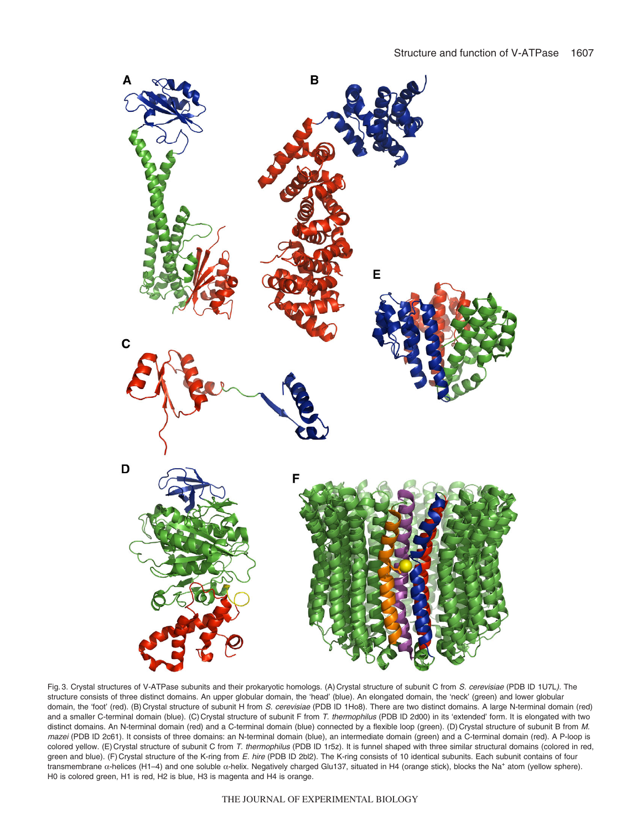

Fig. 3. Crystal structures of V-ATPase subunits and their prokaryotic homologs. (A) Crystal structure of subunit C from S. cerevisiae (PDB ID 1U7L). The structure consists of three distinct domains. An upper globular domain, the 'head' (blue). An elongated domain, the 'neck' (green) and lower globular domain, the 'foot' (red). (B) Crystal structure of subunit H from S. cerevisiae (PDB ID 1Ho8). There are two distinct domains. A large N-terminal domain (red) and a smaller C-terminal domain (blue). (C) Crystal structure of subunit F from T. thermophilus (PDB ID 2d00) in its 'extended' form. It is elongated with two distinct domains. An N-terminal domain (red) and a C-terminal domain (blue) connected by a flexible loop (green). (D) Crystal structure of subunit B from M. mazei (PDB ID 2c61). It consists of three domains: an N-terminal domain (blue), an intermediate domain (green) and a C-terminal domain (red). A P-loop is colored yellow. (E) Crystal structure of subunit C from T. thermophilus (PDB ID 1r5z). It is funnel shaped with three similar structural domains (colored in red, green and blue). (F) Crystal structure of the K-ring from E. hire (PDB ID 2bl2). The K-ring consists of 10 identical subunits. Each subunit contains of four transmembrane α-helices (H1–4) and one soluble α-helix. Negatively charged Glu137, situated in H4 (orange stick), blocks the Na+ atom (yellow sphere). H0 is colored green, H1 is red, H2 is blue, H3 is magenta and H4 is orange.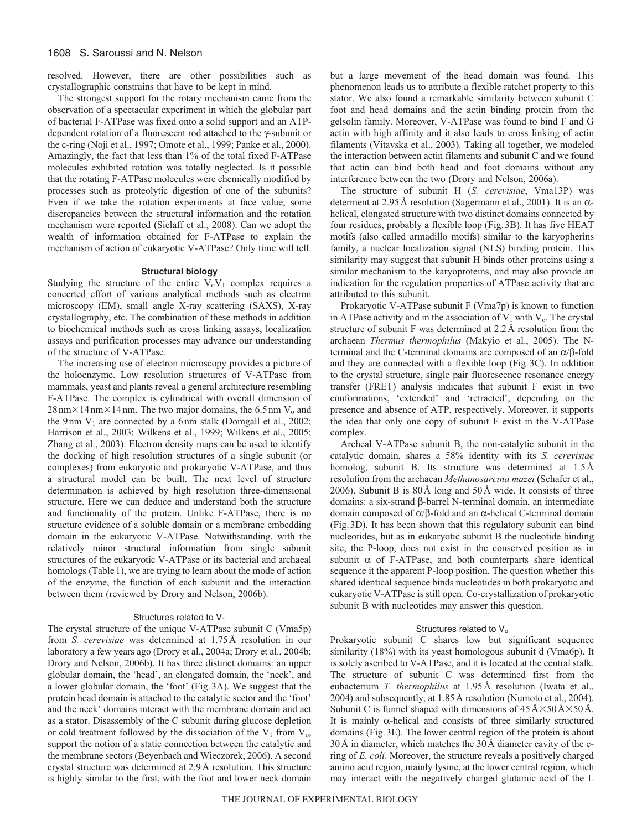## 1608 S. Saroussi and N. Nelson

resolved. However, there are other possibilities such as crystallographic constrains that have to be kept in mind.

The strongest support for the rotary mechanism came from the observation of a spectacular experiment in which the globular part of bacterial F-ATPase was fixed onto a solid support and an ATPdependent rotation of a fluorescent rod attached to the γ-subunit or the c-ring (Noji et al., 1997; Omote et al., 1999; Panke et al., 2000). Amazingly, the fact that less than 1% of the total fixed F-ATPase molecules exhibited rotation was totally neglected. Is it possible that the rotating F-ATPase molecules were chemically modified by processes such as proteolytic digestion of one of the subunits? Even if we take the rotation experiments at face value, some discrepancies between the structural information and the rotation mechanism were reported (Sielaff et al., 2008). Can we adopt the wealth of information obtained for F-ATPase to explain the mechanism of action of eukaryotic V-ATPase? Only time will tell.

### **Structural biology**

Studying the structure of the entire  $V_0V_1$  complex requires a concerted effort of various analytical methods such as electron microscopy (EM), small angle X-ray scattering (SAXS), X-ray crystallography, etc. The combination of these methods in addition to biochemical methods such as cross linking assays, localization assays and purification processes may advance our understanding of the structure of V-ATPase.

The increasing use of electron microscopy provides a picture of the holoenzyme. Low resolution structures of V-ATPase from mammals, yeast and plants reveal a general architecture resembling F-ATPase. The complex is cylindrical with overall dimension of  $28 \text{ nm} \times 14 \text{ nm} \times 14 \text{ nm}$ . The two major domains, the 6.5 nm V<sub>o</sub> and the 9nm  $V_1$  are connected by a 6nm stalk (Domgall et al., 2002; Harrison et al., 2003; Wilkens et al., 1999; Wilkens et al., 2005; Zhang et al., 2003). Electron density maps can be used to identify the docking of high resolution structures of a single subunit (or complexes) from eukaryotic and prokaryotic V-ATPase, and thus a structural model can be built. The next level of structure determination is achieved by high resolution three-dimensional structure. Here we can deduce and understand both the structure and functionality of the protein. Unlike F-ATPase, there is no structure evidence of a soluble domain or a membrane embedding domain in the eukaryotic V-ATPase. Notwithstanding, with the relatively minor structural information from single subunit structures of the eukaryotic V-ATPase or its bacterial and archaeal homologs (Table 1), we are trying to learn about the mode of action of the enzyme, the function of each subunit and the interaction between them (reviewed by Drory and Nelson, 2006b).

### Structures related to V<sub>1</sub>

The crystal structure of the unique V-ATPase subunit C (Vma5p) from *S. cerevisiae* was determined at 1.75Å resolution in our laboratory a few years ago (Drory et al., 2004a; Drory et al., 2004b; Drory and Nelson, 2006b). It has three distinct domains: an upper globular domain, the 'head', an elongated domain, the 'neck', and a lower globular domain, the 'foot' (Fig.3A). We suggest that the protein head domain is attached to the catalytic sector and the 'foot' and the neck' domains interact with the membrane domain and act as a stator. Disassembly of the C subunit during glucose depletion or cold treatment followed by the dissociation of the  $V_1$  from  $V_0$ , support the notion of a static connection between the catalytic and the membrane sectors (Beyenbach and Wieczorek, 2006). A second crystal structure was determined at 2.9Å resolution. This structure is highly similar to the first, with the foot and lower neck domain but a large movement of the head domain was found. This phenomenon leads us to attribute a flexible ratchet property to this stator. We also found a remarkable similarity between subunit C foot and head domains and the actin binding protein from the gelsolin family. Moreover, V-ATPase was found to bind F and G actin with high affinity and it also leads to cross linking of actin filaments (Vitavska et al., 2003). Taking all together, we modeled the interaction between actin filaments and subunit C and we found that actin can bind both head and foot domains without any interference between the two (Drory and Nelson, 2006a).

The structure of subunit H (*S. cerevisiae*, Vma13P) was determent at 2.95Å resolution (Sagermann et al., 2001). It is an αhelical, elongated structure with two distinct domains connected by four residues, probably a flexible loop (Fig.3B). It has five HEAT motifs (also called armadillo motifs) similar to the karyopherins family, a nuclear localization signal (NLS) binding protein. This similarity may suggest that subunit H binds other proteins using a similar mechanism to the karyoproteins, and may also provide an indication for the regulation properties of ATPase activity that are attributed to this subunit.

Prokaryotic V-ATPase subunit F (Vma7p) is known to function in ATPase activity and in the association of  $V_1$  with  $V_0$ . The crystal structure of subunit F was determined at 2.2Å resolution from the archaean *Thermus thermophilus* (Makyio et al., 2005). The Nterminal and the C-terminal domains are composed of an α/β-fold and they are connected with a flexible loop (Fig.3C). In addition to the crystal structure, single pair fluorescence resonance energy transfer (FRET) analysis indicates that subunit F exist in two conformations, 'extended' and 'retracted', depending on the presence and absence of ATP, respectively. Moreover, it supports the idea that only one copy of subunit F exist in the V-ATPase complex.

Archeal V-ATPase subunit B, the non-catalytic subunit in the catalytic domain, shares a 58% identity with its *S. cerevisiae* homolog, subunit B. Its structure was determined at  $1.5\text{\AA}$ resolution from the archaean *Methanosarcina mazei* (Schafer et al., 2006). Subunit B is 80Å long and 50Å wide. It consists of three domains: a six-strand β-barrel N-terminal domain, an intermediate domain composed of α/β-fold and an α-helical C-terminal domain (Fig.3D). It has been shown that this regulatory subunit can bind nucleotides, but as in eukaryotic subunit B the nucleotide binding site, the P-loop, does not exist in the conserved position as in subunit  $\alpha$  of F-ATPase, and both counterparts share identical sequence it the apparent P-loop position. The question whether this shared identical sequence binds nucleotides in both prokaryotic and eukaryotic V-ATPase is still open. Co-crystallization of prokaryotic subunit B with nucleotides may answer this question.

#### Structures related to V<sub>o</sub>

Prokaryotic subunit C shares low but significant sequence similarity (18%) with its yeast homologous subunit d (Vma6p). It is solely ascribed to V-ATPase, and it is located at the central stalk. The structure of subunit C was determined first from the eubacterium *T. thermophilus* at 1.95Å resolution (Iwata et al., 2004) and subsequently, at 1.85Å resolution (Numoto et al., 2004). Subunit C is funnel shaped with dimensions of  $45 \text{ Å} \times 50 \text{ Å} \times 50 \text{ Å}$ . It is mainly  $\alpha$ -helical and consists of three similarly structured domains (Fig.3E). The lower central region of the protein is about 30Å in diameter, which matches the 30Å diameter cavity of the cring of *E. coli*. Moreover, the structure reveals a positively charged amino acid region, mainly lysine, at the lower central region, which may interact with the negatively charged glutamic acid of the L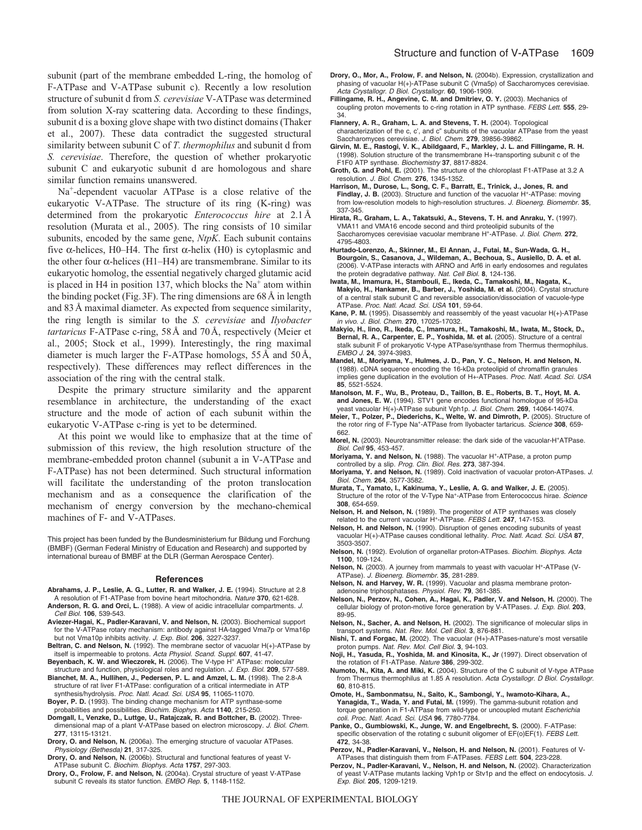subunit (part of the membrane embedded L-ring, the homolog of F-ATPase and V-ATPase subunit c). Recently a low resolution structure of subunit d from *S. cerevisiae* V-ATPase was determined from solution X-ray scattering data. According to these findings, subunit d is a boxing glove shape with two distinct domains (Thaker et al., 2007). These data contradict the suggested structural similarity between subunit C of *T. thermophilus* and subunit d from *S. cerevisiae*. Therefore, the question of whether prokaryotic subunit C and eukaryotic subunit d are homologous and share similar function remains unanswered.

Na<sup>+</sup>-dependent vacuolar ATPase is a close relative of the eukaryotic V-ATPase. The structure of its ring (K-ring) was determined from the prokaryotic *Enterococcus hire* at 2.1Å resolution (Murata et al., 2005). The ring consists of 10 similar subunits, encoded by the same gene, *NtpK*. Each subunit contains five α-helices, H0–H4. The first α-helix (H0) is cytoplasmic and the other four  $\alpha$ -helices (H1–H4) are transmembrane. Similar to its eukaryotic homolog, the essential negatively charged glutamic acid is placed in H4 in position 137, which blocks the  $Na<sup>+</sup>$  atom within the binding pocket (Fig.3F). The ring dimensions are 68Å in length and 83Å maximal diameter. As expected from sequence similarity, the ring length is similar to the *S. cerevisiae* and *Ilyobacter tartaricus* F-ATPase c-ring, 58Å and 70Å, respectively (Meier et al., 2005; Stock et al., 1999). Interestingly, the ring maximal diameter is much larger the F-ATPase homologs, 55Å and 50Å, respectively). These differences may reflect differences in the association of the ring with the central stalk.

Despite the primary structure similarity and the apparent resemblance in architecture, the understanding of the exact structure and the mode of action of each subunit within the eukaryotic V-ATPase c-ring is yet to be determined.

At this point we would like to emphasize that at the time of submission of this review, the high resolution structure of the membrane-embedded proton channel (subunit a in V-ATPase and F-ATPase) has not been determined. Such structural information will facilitate the understanding of the proton translocation mechanism and as a consequence the clarification of the mechanism of energy conversion by the mechano-chemical machines of F- and V-ATPases.

This project has been funded by the Bundesministerium fur Bildung und Forchung (BMBF) (German Federal Ministry of Education and Research) and supported by international bureau of BMBF at the DLR (German Aerospace Center).

#### **References**

- **Abrahams, J. P., Leslie, A. G., Lutter, R. and Walker, J. E.** (1994). Structure at 2.8 A resolution of F1-ATPase from bovine heart mitochondria. Nature **370**, 621-628.
- **Anderson, R. G. and Orci, L.** (1988). A view of acidic intracellular compartments. J. Cell Biol. **106**, 539-543.
- **Aviezer-Hagai, K., Padler-Karavani, V. and Nelson, N.** (2003). Biochemical support for the V-ATPase rotary mechanism: antibody against HA-tagged Vma7p or Vma16p but not Vma10p inhibits activity. J. Exp. Biol. **206**, 3227-3237.
- **Beltran, C. and Nelson, N.** (1992). The membrane sector of vacuolar H(+)-ATPase by itself is impermeable to protons. Acta Physiol. Scand. Suppl. **607**, 41-47.
- **Beyenbach, K. W. and Wieczorek, H.** (2006). The V-type H+ ATPase: molecular structure and function, physiological roles and regulation. J. Exp. Biol. **209**, 577-589.
- **Bianchet, M. A., Hullihen, J., Pedersen, P. L. and Amzel, L. M.** (1998). The 2.8-A structure of rat liver F1-ATPase: configuration of a critical intermediate in ATP synthesis/hydrolysis. Proc. Natl. Acad. Sci. USA **95**, 11065-11070.
- **Boyer, P. D.** (1993). The binding change mechanism for ATP synthase-some probabilities and possibilities. Biochim. Biophys. Acta **1140**, 215-250.
- **Domgall, I., Venzke, D., Luttge, U., Ratajczak, R. and Bottcher, B.** (2002). Threedimensional map of a plant V-ATPase based on electron microscopy. J. Biol. Chem. **277**, 13115-13121.
- **Drory, O. and Nelson, N.** (2006a). The emerging structure of vacuolar ATPases. Physiology (Bethesda) **21**, 317-325.
- **Drory, O. and Nelson, N.** (2006b). Structural and functional features of yeast V-ATPase subunit C. Biochim. Biophys. Acta **1757**, 297-303.
- **Drory, O., Frolow, F. and Nelson, N.** (2004a). Crystal structure of yeast V-ATPase subunit C reveals its stator function. EMBO Rep. **5**, 1148-1152.
- **Drory, O., Mor, A., Frolow, F. and Nelson, N.** (2004b). Expression, crystallization and phasing of vacuolar H(+)-ATPase subunit C (Vma5p) of Saccharomyces cerevisiae. Acta Crystallogr. D Biol. Crystallogr. **60**, 1906-1909.
- **Fillingame, R. H., Angevine, C. M. and Dmitriev, O. Y.** (2003). Mechanics of coupling proton movements to c-ring rotation in ATP synthase. FEBS Lett. **555**, 29- 34.
- **Flannery, A. R., Graham, L. A. and Stevens, T. H.** (2004). Topological characterization of the c, c', and c" subunits of the vacuolar ATPase from the yeast Saccharomyces cerevisiae. J. Biol. Chem. **279**, 39856-39862.
- **Girvin, M. E., Rastogi, V. K., Abildgaard, F., Markley, J. L. and Fillingame, R. H.** (1998). Solution structure of the transmembrane H+-transporting subunit c of the F1F0 ATP synthase. Biochemistry **37**, 8817-8824.
- **Groth, G. and Pohl, E.** (2001). The structure of the chloroplast F1-ATPase at 3.2 A resolution. J. Biol. Chem. **276**, 1345-1352.
- **Harrison, M., Durose, L., Song, C. F., Barratt, E., Trinick, J., Jones, R. and** Findlay, J. B. (2003). Structure and function of the vacuolar H<sup>+</sup>-ATPase: moving from low-resolution models to high-resolution structures. J. Bioenerg. Biomembr. **35**, 337-345.
- **Hirata, R., Graham, L. A., Takatsuki, A., Stevens, T. H. and Anraku, Y.** (1997). VMA11 and VMA16 encode second and third proteolipid subunits of the Saccharomyces cerevisiae vacuolar membrane H+-ATPase. J. Biol. Chem. **272**, 4795-4803.
- **Hurtado-Lorenzo, A., Skinner, M., El Annan, J., Futai, M., Sun-Wada, G. H., Bourgoin, S., Casanova, J., Wildeman, A., Bechoua, S., Ausiello, D. A. et al.** (2006). V-ATPase interacts with ARNO and Arf6 in early endosomes and regulates the protein degradative pathway. Nat. Cell Biol. **8**, 124-136.
- **Iwata, M., Imamura, H., Stambouli, E., Ikeda, C., Tamakoshi, M., Nagata, K., Makyio, H., Hankamer, B., Barber, J., Yoshida, M. et al.** (2004). Crystal structure of a central stalk subunit C and reversible association/dissociation of vacuole-type ATPase. Proc. Natl. Acad. Sci. USA **101**, 59-64.
- **Kane, P. M.** (1995). Disassembly and reassembly of the yeast vacuolar H(+)-ATPase in vivo. J. Biol. Chem. **270**, 17025-17032.
- **Makyio, H., Iino, R., Ikeda, C., Imamura, H., Tamakoshi, M., Iwata, M., Stock, D., Bernal, R. A., Carpenter, E. P., Yoshida, M. et al.** (2005). Structure of a central stalk subunit F of prokaryotic V-type ATPase/synthase from Thermus thermophilus. EMBO J. **24**, 3974-3983.
- **Mandel, M., Moriyama, Y., Hulmes, J. D., Pan, Y. C., Nelson, H. and Nelson, N.** (1988). cDNA sequence encoding the 16-kDa proteolipid of chromaffin granules implies gene duplication in the evolution of H+-ATPases. Proc. Natl. Acad. Sci. USA **85**, 5521-5524.
- **Manolson, M. F., Wu, B., Proteau, D., Taillon, B. E., Roberts, B. T., Hoyt, M. A. and Jones, E. W.** (1994). STV1 gene encodes functional homologue of 95-kDa yeast vacuolar H(+)-ATPase subunit Vph1p. J. Biol. Chem. **269**, 14064-14074.
- **Meier, T., Polzer, P., Diederichs, K., Welte, W. and Dimroth, P.** (2005). Structure of the rotor ring of F-Type Na+-ATPase from Ilyobacter tartaricus. Science **308**, 659- 662.
- **Morel, N.** (2003). Neurotransmitter release: the dark side of the vacuolar-H+ATPase. Biol. Cell **95**, 453-457.
- Moriyama, Y. and Nelson, N. (1988). The vacuolar H<sup>+</sup>-ATPase, a proton pump controlled by a slip. Prog. Clin. Biol. Res. **273**, 387-394.
- **Moriyama, Y. and Nelson, N.** (1989). Cold inactivation of vacuolar proton-ATPases. J. Biol. Chem. **264**, 3577-3582.
- **Murata, T., Yamato, I., Kakinuma, Y., Leslie, A. G. and Walker, J. E.** (2005). Structure of the rotor of the V-Type Na+-ATPase from Enterococcus hirae. Science **308**, 654-659.
- **Nelson, H. and Nelson, N.** (1989). The progenitor of ATP synthases was closely related to the current vacuolar H+-ATPase. FEBS Lett. **247**, 147-153.
- **Nelson, H. and Nelson, N.** (1990). Disruption of genes encoding subunits of yeast vacuolar H(+)-ATPase causes conditional lethality. Proc. Natl. Acad. Sci. USA **87**, 3503-3507.
- **Nelson, N.** (1992). Evolution of organellar proton-ATPases. Biochim. Biophys. Acta **1100**, 109-124.
- Nelson, N. (2003). A journey from mammals to yeast with vacuolar H<sup>+</sup>-ATPase (V-ATPase). J. Bioenerg. Biomembr. **35**, 281-289.
- **Nelson, N. and Harvey, W. R.** (1999). Vacuolar and plasma membrane protonadenosine triphosphatases. Physiol. Rev. **79**, 361-385.
- **Nelson, N., Perzov, N., Cohen, A., Hagai, K., Padler, V. and Nelson, H.** (2000). The cellular biology of proton-motive force generation by V-ATPases. J. Exp. Biol. **203**, 89-95.
- **Nelson, N., Sacher, A. and Nelson, H.** (2002). The significance of molecular slips in transport systems. Nat. Rev. Mol. Cell Biol. **3**, 876-881.
- **Nishi, T. and Forgac, M.** (2002). The vacuolar (H+)-ATPases-nature's most versatile proton pumps. Nat. Rev. Mol. Cell Biol. **3**, 94-103.
- **Noji, H., Yasuda, R., Yoshida, M. and Kinosita, K., Jr** (1997). Direct observation of the rotation of F1-ATPase. Nature **386**, 299-302.
- **Numoto, N., Kita, A. and Miki, K.** (2004). Structure of the C subunit of V-type ATPase from Thermus thermophilus at 1.85 A resolution. Acta Crystallogr. D Biol. Crystallogr. **60**, 810-815.
- **Omote, H., Sambonmatsu, N., Saito, K., Sambongi, Y., Iwamoto-Kihara, A., Yanagida, T., Wada, Y. and Futai, M.** (1999). The gamma-subunit rotation and torque generation in F1-ATPase from wild-type or uncoupled mutant Escherichia coli. Proc. Natl. Acad. Sci. USA **96**, 7780-7784.
- **Panke, O., Gumbiowski, K., Junge, W. and Engelbrecht, S.** (2000). F-ATPase: specific observation of the rotating c subunit oligomer of  $EF(o)EF(1)$ . FEBS Lett. **472**, 34-38.
- **Perzov, N., Padler-Karavani, V., Nelson, H. and Nelson, N.** (2001). Features of V-ATPases that distinguish them from F-ATPases. FEBS Lett. **504**, 223-228.
- **Perzov, N., Padler-Karavani, V., Nelson, H. and Nelson, N.** (2002). Characterization of yeast V-ATPase mutants lacking Vph1p or Stv1p and the effect on endocytosis. J. Exp. Biol. **205**, 1209-1219.